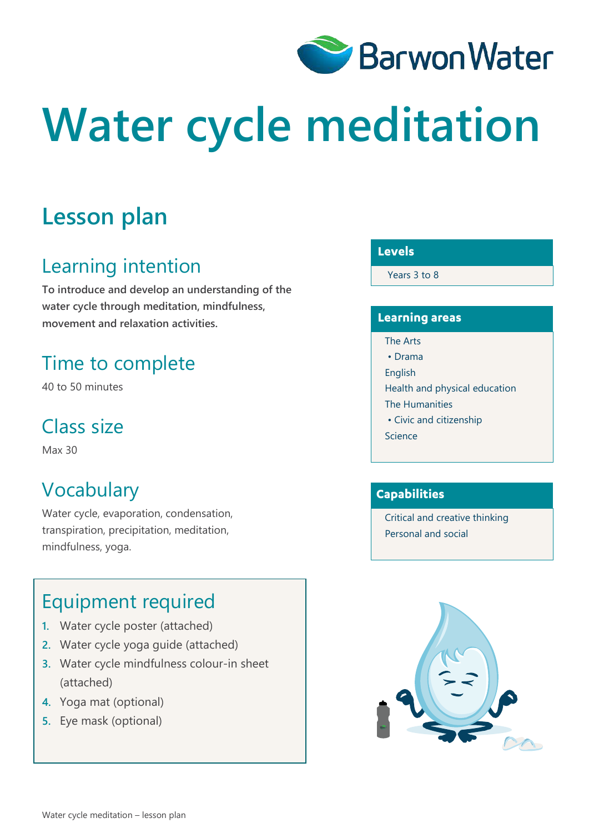

# **Water cycle meditation**

# **Lesson plan**

# Learning intention

**To introduce and develop an understanding of the water cycle through meditation, mindfulness, movement and relaxation activities.**

# Time to complete

40 to 50 minutes

# Class size

Max 30

# Vocabulary

Water cycle, evaporation, condensation, transpiration, precipitation, meditation, mindfulness, yoga.

### Equipment required

- **1.** Water cycle poster (attached)
- **2.** Water cycle yoga guide (attached)
- **3.** Water cycle mindfulness colour-in sheet (attached)
- **4.** Yoga mat (optional)
- **5.** Eye mask (optional)

#### **Levels**

Years 3 to 8

#### **Learning areas**

- The Arts • Drama
- English
- Health and physical education
- The Humanities
- Civic and citizenship
- Science

#### **Capabilities**

Critical and creative thinking Personal and social

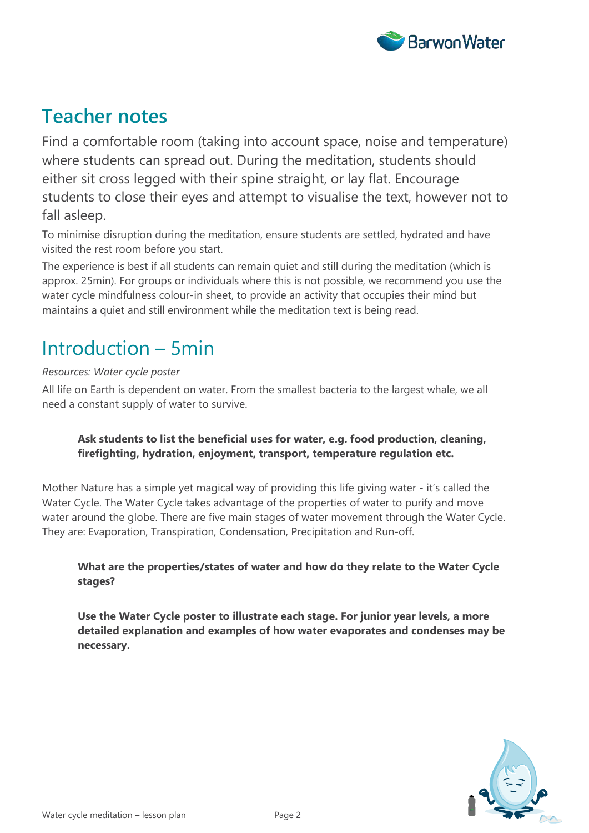

### **Teacher notes**

Find a comfortable room (taking into account space, noise and temperature) where students can spread out. During the meditation, students should either sit cross legged with their spine straight, or lay flat. Encourage students to close their eyes and attempt to visualise the text, however not to fall asleep.

To minimise disruption during the meditation, ensure students are settled, hydrated and have visited the rest room before you start.

The experience is best if all students can remain quiet and still during the meditation (which is approx. 25min). For groups or individuals where this is not possible, we recommend you use the water cycle mindfulness colour-in sheet, to provide an activity that occupies their mind but maintains a quiet and still environment while the meditation text is being read.

# Introduction – 5min

#### *Resources: Water cycle poster*

All life on Earth is dependent on water. From the smallest bacteria to the largest whale, we all need a constant supply of water to survive.

#### **Ask students to list the beneficial uses for water, e.g. food production, cleaning, firefighting, hydration, enjoyment, transport, temperature regulation etc.**

Mother Nature has a simple yet magical way of providing this life giving water - it's called the Water Cycle. The Water Cycle takes advantage of the properties of water to purify and move water around the globe. There are five main stages of water movement through the Water Cycle. They are: Evaporation, Transpiration, Condensation, Precipitation and Run-off.

#### **What are the properties/states of water and how do they relate to the Water Cycle stages?**

**Use the Water Cycle poster to illustrate each stage. For junior year levels, a more detailed explanation and examples of how water evaporates and condenses may be necessary.** 

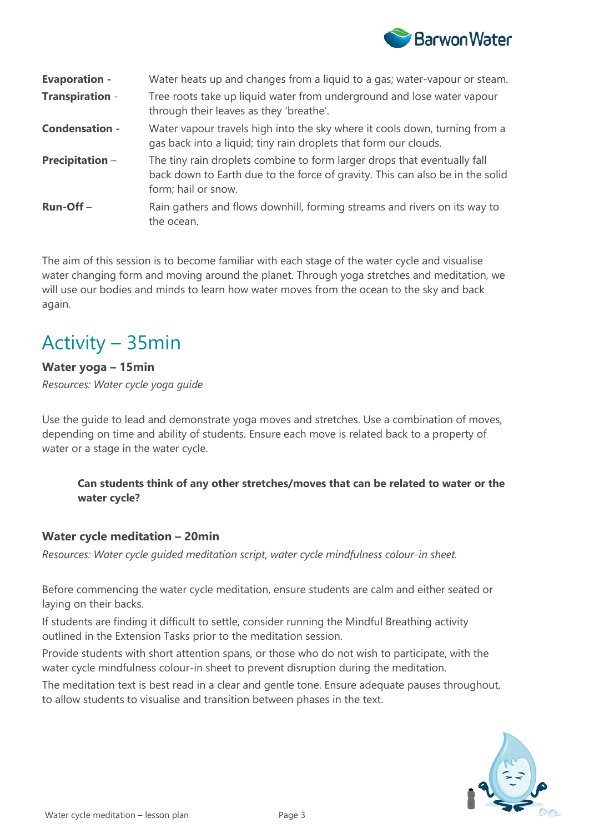

| <b>Evaporation -</b>   | Water heats up and changes from a liquid to a gas; water-vapour or steam.                                                                                                        |
|------------------------|----------------------------------------------------------------------------------------------------------------------------------------------------------------------------------|
| <b>Transpiration -</b> | Tree roots take up liquid water from underground and lose water vapour<br>through their leaves as they 'breathe'.                                                                |
| <b>Condensation -</b>  | Water vapour travels high into the sky where it cools down, turning from a<br>gas back into a liquid; tiny rain droplets that form our clouds.                                   |
| <b>Precipitation -</b> | The tiny rain droplets combine to form larger drops that eventually fall<br>back down to Earth due to the force of gravity. This can also be in the solid<br>form; hail or snow. |
| $Run-Off -$            | Rain gathers and flows downhill, forming streams and rivers on its way to<br>the ocean.                                                                                          |

The aim of this session is to become familiar with each stage of the water cycle and visualise water changing form and moving around the planet. Through yoga stretches and meditation, we will use our bodies and minds to learn how water moves from the ocean to the sky and back again.

# Activity – 35min

#### **Water yoga – 15min**

*Resources: Water cycle yoga guide*

Use the guide to lead and demonstrate yoga moves and stretches. Use a combination of moves, depending on time and ability of students. Ensure each move is related back to a property of water or a stage in the water cycle.

#### **Can students think of any other stretches/moves that can be related to water or the water cycle?**

#### **Water cycle meditation – 20min**

*Resources: Water cycle guided meditation script, water cycle mindfulness colour-in sheet.*

Before commencing the water cycle meditation, ensure students are calm and either seated or laying on their backs.

If students are finding it difficult to settle, consider running the Mindful Breathing activity outlined in the Extension Tasks prior to the meditation session.

Provide students with short attention spans, or those who do not wish to participate, with the water cycle mindfulness colour-in sheet to prevent disruption during the meditation.

The meditation text is best read in a clear and gentle tone. Ensure adequate pauses throughout, to allow students to visualise and transition between phases in the text.

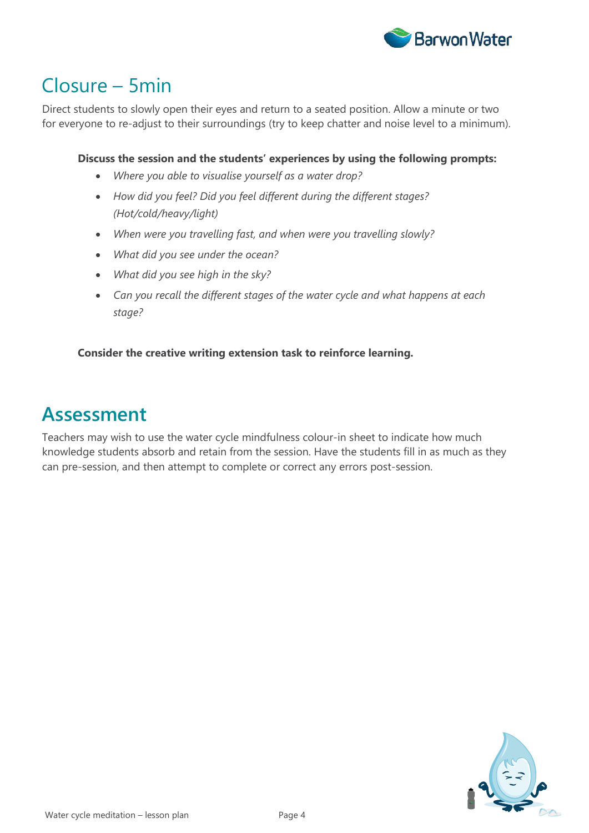

# Closure – 5min

Direct students to slowly open their eyes and return to a seated position. Allow a minute or two for everyone to re-adjust to their surroundings (try to keep chatter and noise level to a minimum).

#### **Discuss the session and the students' experiences by using the following prompts:**

- *Where you able to visualise yourself as a water drop?*
- *How did you feel? Did you feel different during the different stages? (Hot/cold/heavy/light)*
- *When were you travelling fast, and when were you travelling slowly?*
- *What did you see under the ocean?*
- *What did you see high in the sky?*
- *Can you recall the different stages of the water cycle and what happens at each stage?*

#### **Consider the creative writing extension task to reinforce learning.**

### **Assessment**

Teachers may wish to use the water cycle mindfulness colour-in sheet to indicate how much knowledge students absorb and retain from the session. Have the students fill in as much as they can pre-session, and then attempt to complete or correct any errors post-session.

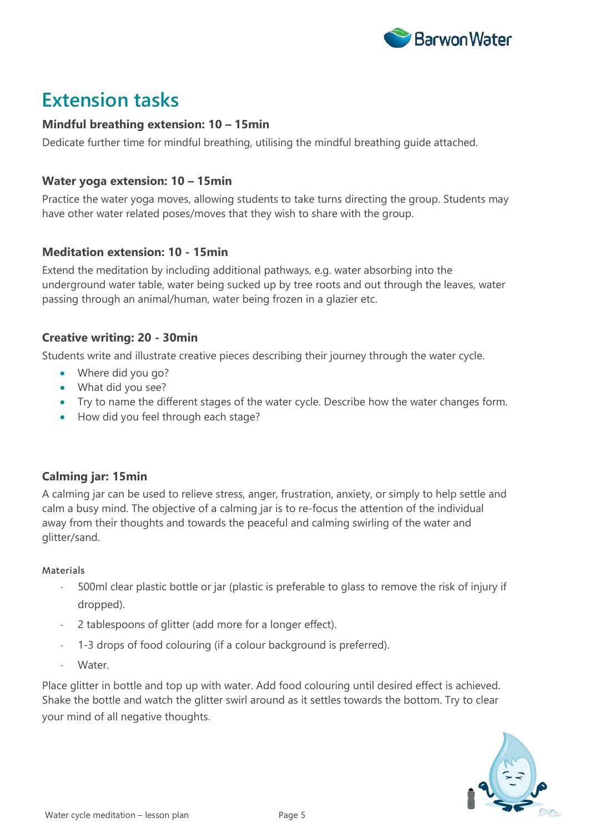

### **Extension tasks**

#### **Mindful breathing extension: 10 – 15min**

Dedicate further time for mindful breathing, utilising the mindful breathing guide attached.

#### **Water yoga extension: 10 – 15min**

Practice the water yoga moves, allowing students to take turns directing the group. Students may have other water related poses/moves that they wish to share with the group.

#### **Meditation extension: 10 - 15min**

Extend the meditation by including additional pathways, e.g. water absorbing into the underground water table, water being sucked up by tree roots and out through the leaves, water passing through an animal/human, water being frozen in a glazier etc.

#### **Creative writing: 20 - 30min**

Students write and illustrate creative pieces describing their journey through the water cycle.

- Where did you go?
- What did you see?
- Try to name the different stages of the water cycle. Describe how the water changes form.
- How did you feel through each stage?

#### **Calming jar: 15min**

A calming jar can be used to relieve stress, anger, frustration, anxiety, or simply to help settle and calm a busy mind. The objective of a calming jar is to re-focus the attention of the individual away from their thoughts and towards the peaceful and calming swirling of the water and glitter/sand.

#### **Materials**

- 500ml clear plastic bottle or jar (plastic is preferable to glass to remove the risk of injury if dropped).
- 2 tablespoons of glitter (add more for a longer effect).
- 1-3 drops of food colouring (if a colour background is preferred).
- Water.

Place glitter in bottle and top up with water. Add food colouring until desired effect is achieved. Shake the bottle and watch the glitter swirl around as it settles towards the bottom. Try to clear your mind of all negative thoughts.

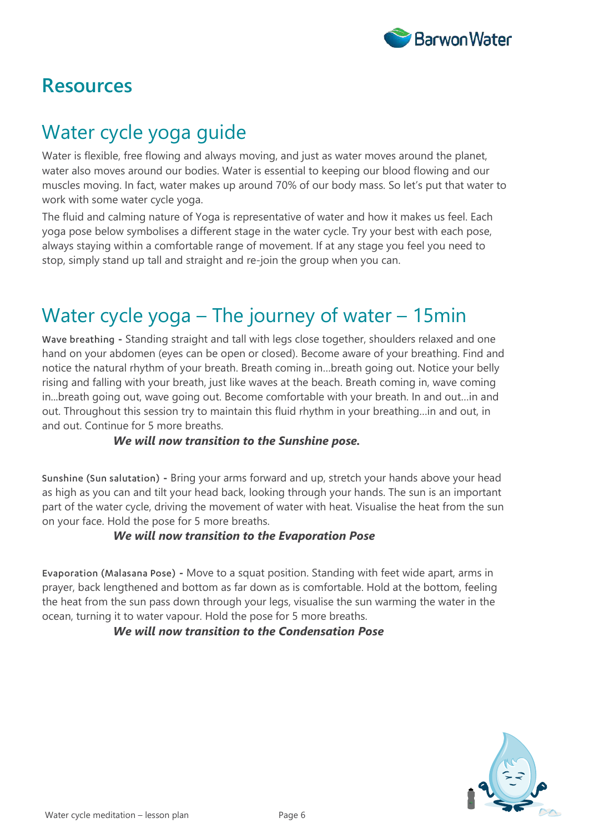

### **Resources**

# Water cycle yoga guide

Water is flexible, free flowing and always moving, and just as water moves around the planet, water also moves around our bodies. Water is essential to keeping our blood flowing and our muscles moving. In fact, water makes up around 70% of our body mass. So let's put that water to work with some water cycle yoga.

The fluid and calming nature of Yoga is representative of water and how it makes us feel. Each yoga pose below symbolises a different stage in the water cycle. Try your best with each pose, always staying within a comfortable range of movement. If at any stage you feel you need to stop, simply stand up tall and straight and re-join the group when you can.

# Water cycle yoga – The journey of water – 15min

Wave breathing **-** Standing straight and tall with legs close together, shoulders relaxed and one hand on your abdomen (eyes can be open or closed). Become aware of your breathing. Find and notice the natural rhythm of your breath. Breath coming in…breath going out. Notice your belly rising and falling with your breath, just like waves at the beach. Breath coming in, wave coming in...breath going out, wave going out. Become comfortable with your breath. In and out…in and out. Throughout this session try to maintain this fluid rhythm in your breathing…in and out, in and out. Continue for 5 more breaths.

#### *We will now transition to the Sunshine pose.*

Sunshine (Sun salutation) **-** Bring your arms forward and up, stretch your hands above your head as high as you can and tilt your head back, looking through your hands. The sun is an important part of the water cycle, driving the movement of water with heat. Visualise the heat from the sun on your face. Hold the pose for 5 more breaths.

#### *We will now transition to the Evaporation Pose*

Evaporation (Malasana Pose) **-** Move to a squat position. Standing with feet wide apart, arms in prayer, back lengthened and bottom as far down as is comfortable. Hold at the bottom, feeling the heat from the sun pass down through your legs, visualise the sun warming the water in the ocean, turning it to water vapour. Hold the pose for 5 more breaths.

#### *We will now transition to the Condensation Pose*

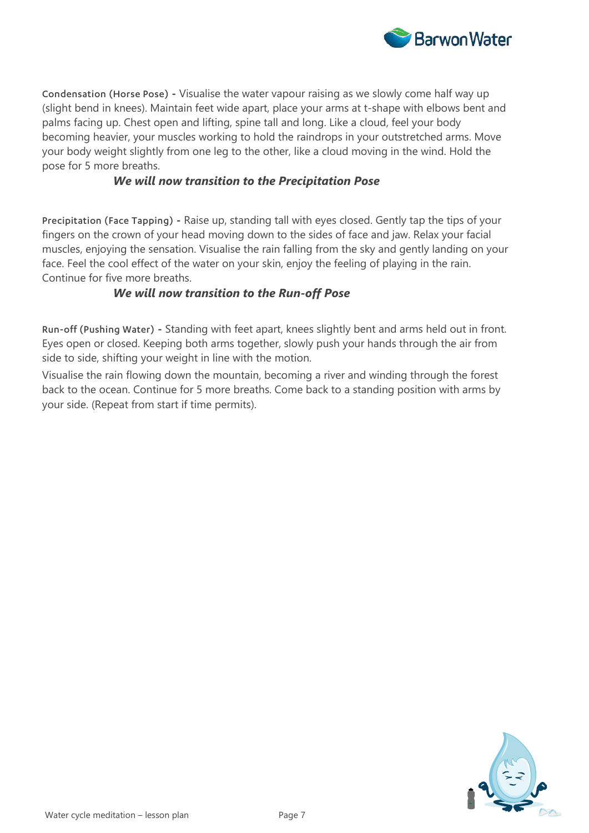

Condensation (Horse Pose) **-** Visualise the water vapour raising as we slowly come half way up (slight bend in knees). Maintain feet wide apart, place your arms at t-shape with elbows bent and palms facing up. Chest open and lifting, spine tall and long. Like a cloud, feel your body becoming heavier, your muscles working to hold the raindrops in your outstretched arms. Move your body weight slightly from one leg to the other, like a cloud moving in the wind. Hold the pose for 5 more breaths.

#### *We will now transition to the Precipitation Pose*

Precipitation (Face Tapping) **-** Raise up, standing tall with eyes closed. Gently tap the tips of your fingers on the crown of your head moving down to the sides of face and jaw. Relax your facial muscles, enjoying the sensation. Visualise the rain falling from the sky and gently landing on your face. Feel the cool effect of the water on your skin, enjoy the feeling of playing in the rain. Continue for five more breaths.

#### *We will now transition to the Run-off Pose*

Run-off (Pushing Water) **-** Standing with feet apart, knees slightly bent and arms held out in front. Eyes open or closed. Keeping both arms together, slowly push your hands through the air from side to side, shifting your weight in line with the motion.

Visualise the rain flowing down the mountain, becoming a river and winding through the forest back to the ocean. Continue for 5 more breaths. Come back to a standing position with arms by your side. (Repeat from start if time permits).

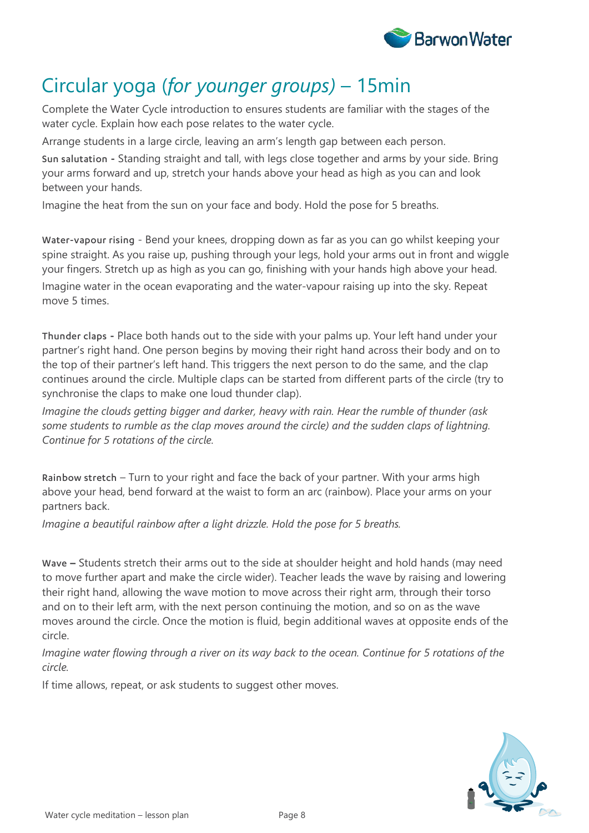

# Circular yoga (*for younger groups)* – 15min

Complete the Water Cycle introduction to ensures students are familiar with the stages of the water cycle. Explain how each pose relates to the water cycle.

Arrange students in a large circle, leaving an arm's length gap between each person.

Sun salutation **-** Standing straight and tall, with legs close together and arms by your side. Bring your arms forward and up, stretch your hands above your head as high as you can and look between your hands.

Imagine the heat from the sun on your face and body. Hold the pose for 5 breaths.

Water-vapour rising - Bend your knees, dropping down as far as you can go whilst keeping your spine straight. As you raise up, pushing through your legs, hold your arms out in front and wiggle your fingers. Stretch up as high as you can go, finishing with your hands high above your head. Imagine water in the ocean evaporating and the water-vapour raising up into the sky. Repeat move 5 times.

Thunder claps **-** Place both hands out to the side with your palms up. Your left hand under your partner's right hand. One person begins by moving their right hand across their body and on to the top of their partner's left hand. This triggers the next person to do the same, and the clap continues around the circle. Multiple claps can be started from different parts of the circle (try to synchronise the claps to make one loud thunder clap).

*Imagine the clouds getting bigger and darker, heavy with rain. Hear the rumble of thunder (ask some students to rumble as the clap moves around the circle) and the sudden claps of lightning. Continue for 5 rotations of the circle.*

Rainbow stretch – Turn to your right and face the back of your partner. With your arms high above your head, bend forward at the waist to form an arc (rainbow). Place your arms on your partners back.

*Imagine a beautiful rainbow after a light drizzle. Hold the pose for 5 breaths.*

Wave **–** Students stretch their arms out to the side at shoulder height and hold hands (may need to move further apart and make the circle wider). Teacher leads the wave by raising and lowering their right hand, allowing the wave motion to move across their right arm, through their torso and on to their left arm, with the next person continuing the motion, and so on as the wave moves around the circle. Once the motion is fluid, begin additional waves at opposite ends of the circle.

*Imagine water flowing through a river on its way back to the ocean. Continue for 5 rotations of the circle.*

If time allows, repeat, or ask students to suggest other moves.

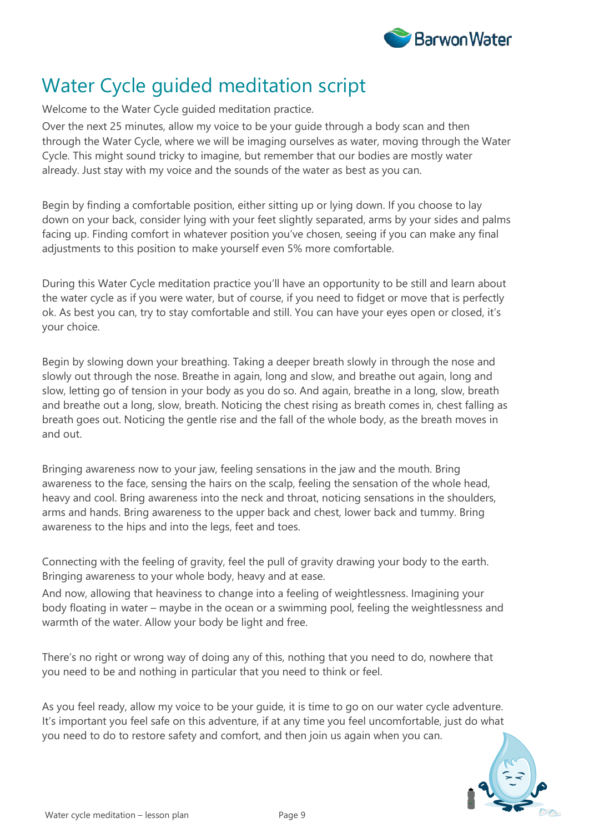

# Water Cycle guided meditation script

Welcome to the Water Cycle guided meditation practice.

Over the next 25 minutes, allow my voice to be your guide through a body scan and then through the Water Cycle, where we will be imaging ourselves as water, moving through the Water Cycle. This might sound tricky to imagine, but remember that our bodies are mostly water already. Just stay with my voice and the sounds of the water as best as you can.

Begin by finding a comfortable position, either sitting up or lying down. If you choose to lay down on your back, consider lying with your feet slightly separated, arms by your sides and palms facing up. Finding comfort in whatever position you've chosen, seeing if you can make any final adjustments to this position to make yourself even 5% more comfortable.

During this Water Cycle meditation practice you'll have an opportunity to be still and learn about the water cycle as if you were water, but of course, if you need to fidget or move that is perfectly ok. As best you can, try to stay comfortable and still. You can have your eyes open or closed, it's your choice.

Begin by slowing down your breathing. Taking a deeper breath slowly in through the nose and slowly out through the nose. Breathe in again, long and slow, and breathe out again, long and slow, letting go of tension in your body as you do so. And again, breathe in a long, slow, breath and breathe out a long, slow, breath. Noticing the chest rising as breath comes in, chest falling as breath goes out. Noticing the gentle rise and the fall of the whole body, as the breath moves in and out.

Bringing awareness now to your jaw, feeling sensations in the jaw and the mouth. Bring awareness to the face, sensing the hairs on the scalp, feeling the sensation of the whole head, heavy and cool. Bring awareness into the neck and throat, noticing sensations in the shoulders, arms and hands. Bring awareness to the upper back and chest, lower back and tummy. Bring awareness to the hips and into the legs, feet and toes.

Connecting with the feeling of gravity, feel the pull of gravity drawing your body to the earth. Bringing awareness to your whole body, heavy and at ease.

And now, allowing that heaviness to change into a feeling of weightlessness. Imagining your body floating in water – maybe in the ocean or a swimming pool, feeling the weightlessness and warmth of the water. Allow your body be light and free.

There's no right or wrong way of doing any of this, nothing that you need to do, nowhere that you need to be and nothing in particular that you need to think or feel.

As you feel ready, allow my voice to be your guide, it is time to go on our water cycle adventure. It's important you feel safe on this adventure, if at any time you feel uncomfortable, just do what you need to do to restore safety and comfort, and then join us again when you can.

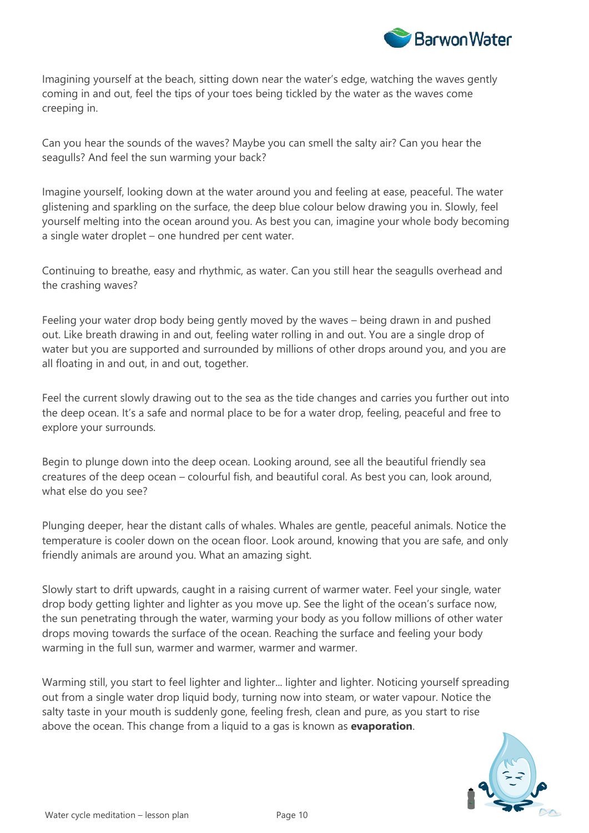

Imagining yourself at the beach, sitting down near the water's edge, watching the waves gently coming in and out, feel the tips of your toes being tickled by the water as the waves come creeping in.

Can you hear the sounds of the waves? Maybe you can smell the salty air? Can you hear the seagulls? And feel the sun warming your back?

Imagine yourself, looking down at the water around you and feeling at ease, peaceful. The water glistening and sparkling on the surface, the deep blue colour below drawing you in. Slowly, feel yourself melting into the ocean around you. As best you can, imagine your whole body becoming a single water droplet – one hundred per cent water.

Continuing to breathe, easy and rhythmic, as water. Can you still hear the seagulls overhead and the crashing waves?

Feeling your water drop body being gently moved by the waves – being drawn in and pushed out. Like breath drawing in and out, feeling water rolling in and out. You are a single drop of water but you are supported and surrounded by millions of other drops around you, and you are all floating in and out, in and out, together.

Feel the current slowly drawing out to the sea as the tide changes and carries you further out into the deep ocean. It's a safe and normal place to be for a water drop, feeling, peaceful and free to explore your surrounds.

Begin to plunge down into the deep ocean. Looking around, see all the beautiful friendly sea creatures of the deep ocean – colourful fish, and beautiful coral. As best you can, look around, what else do you see?

Plunging deeper, hear the distant calls of whales. Whales are gentle, peaceful animals. Notice the temperature is cooler down on the ocean floor. Look around, knowing that you are safe, and only friendly animals are around you. What an amazing sight.

Slowly start to drift upwards, caught in a raising current of warmer water. Feel your single, water drop body getting lighter and lighter as you move up. See the light of the ocean's surface now, the sun penetrating through the water, warming your body as you follow millions of other water drops moving towards the surface of the ocean. Reaching the surface and feeling your body warming in the full sun, warmer and warmer, warmer and warmer.

Warming still, you start to feel lighter and lighter... lighter and lighter. Noticing yourself spreading out from a single water drop liquid body, turning now into steam, or water vapour. Notice the salty taste in your mouth is suddenly gone, feeling fresh, clean and pure, as you start to rise above the ocean. This change from a liquid to a gas is known as **evaporation**.

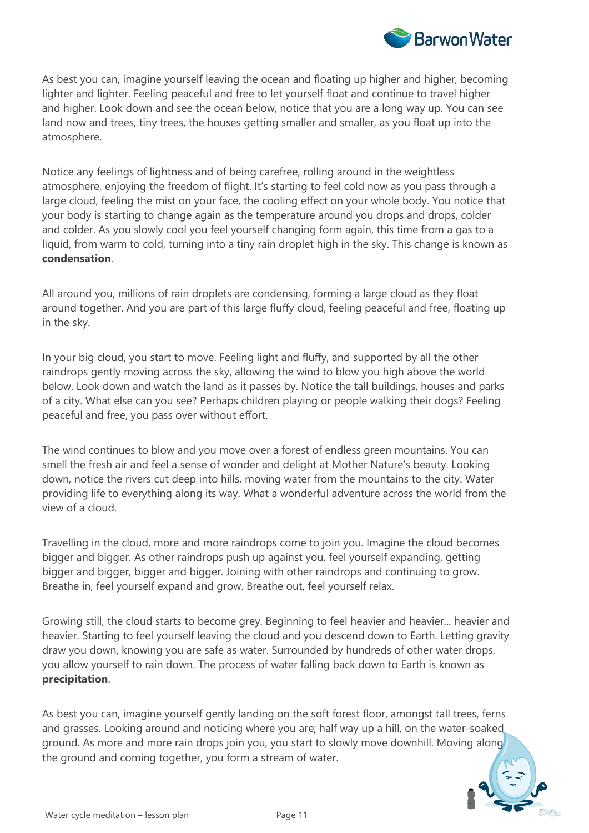

As best you can, imagine yourself leaving the ocean and floating up higher and higher, becoming lighter and lighter. Feeling peaceful and free to let yourself float and continue to travel higher and higher. Look down and see the ocean below, notice that you are a long way up. You can see land now and trees, tiny trees, the houses getting smaller and smaller, as you float up into the atmosphere.

Notice any feelings of lightness and of being carefree, rolling around in the weightless atmosphere, enjoying the freedom of flight. It's starting to feel cold now as you pass through a large cloud, feeling the mist on your face, the cooling effect on your whole body. You notice that your body is starting to change again as the temperature around you drops and drops, colder and colder. As you slowly cool you feel yourself changing form again, this time from a gas to a liquid, from warm to cold, turning into a tiny rain droplet high in the sky. This change is known as **condensation**.

All around you, millions of rain droplets are condensing, forming a large cloud as they float around together. And you are part of this large fluffy cloud, feeling peaceful and free, floating up in the sky.

In your big cloud, you start to move. Feeling light and fluffy, and supported by all the other raindrops gently moving across the sky, allowing the wind to blow you high above the world below. Look down and watch the land as it passes by. Notice the tall buildings, houses and parks of a city. What else can you see? Perhaps children playing or people walking their dogs? Feeling peaceful and free, you pass over without effort.

The wind continues to blow and you move over a forest of endless green mountains. You can smell the fresh air and feel a sense of wonder and delight at Mother Nature's beauty. Looking down, notice the rivers cut deep into hills, moving water from the mountains to the city. Water providing life to everything along its way. What a wonderful adventure across the world from the view of a cloud.

Travelling in the cloud, more and more raindrops come to join you. Imagine the cloud becomes bigger and bigger. As other raindrops push up against you, feel yourself expanding, getting bigger and bigger, bigger and bigger. Joining with other raindrops and continuing to grow. Breathe in, feel yourself expand and grow. Breathe out, feel yourself relax.

Growing still, the cloud starts to become grey. Beginning to feel heavier and heavier... heavier and heavier. Starting to feel yourself leaving the cloud and you descend down to Earth. Letting gravity draw you down, knowing you are safe as water. Surrounded by hundreds of other water drops, you allow yourself to rain down. The process of water falling back down to Earth is known as **precipitation**.

As best you can, imagine yourself gently landing on the soft forest floor, amongst tall trees, ferns and grasses. Looking around and noticing where you are; half way up a hill, on the water-soaked ground. As more and more rain drops join you, you start to slowly move downhill. Moving along the ground and coming together, you form a stream of water.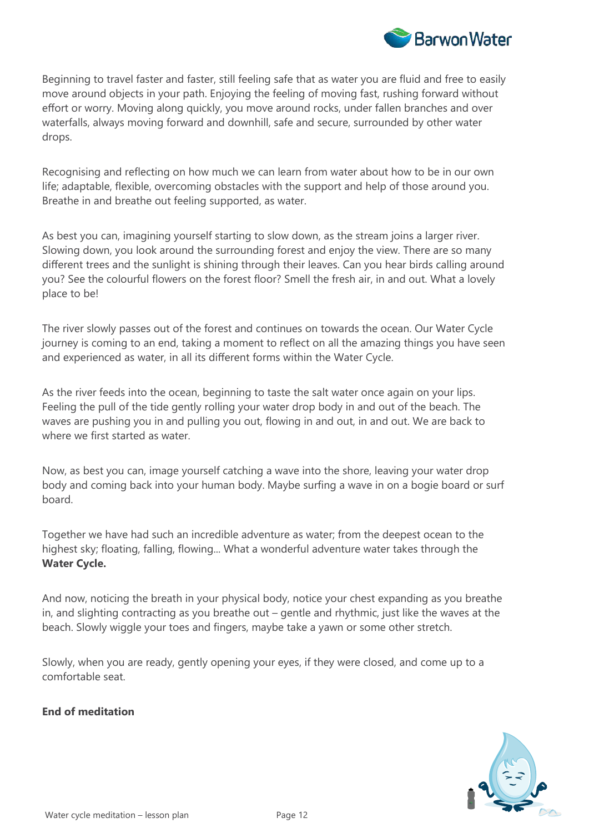

Beginning to travel faster and faster, still feeling safe that as water you are fluid and free to easily move around objects in your path. Enjoying the feeling of moving fast, rushing forward without effort or worry. Moving along quickly, you move around rocks, under fallen branches and over waterfalls, always moving forward and downhill, safe and secure, surrounded by other water drops.

Recognising and reflecting on how much we can learn from water about how to be in our own life; adaptable, flexible, overcoming obstacles with the support and help of those around you. Breathe in and breathe out feeling supported, as water.

As best you can, imagining yourself starting to slow down, as the stream joins a larger river. Slowing down, you look around the surrounding forest and enjoy the view. There are so many different trees and the sunlight is shining through their leaves. Can you hear birds calling around you? See the colourful flowers on the forest floor? Smell the fresh air, in and out. What a lovely place to be!

The river slowly passes out of the forest and continues on towards the ocean. Our Water Cycle journey is coming to an end, taking a moment to reflect on all the amazing things you have seen and experienced as water, in all its different forms within the Water Cycle.

As the river feeds into the ocean, beginning to taste the salt water once again on your lips. Feeling the pull of the tide gently rolling your water drop body in and out of the beach. The waves are pushing you in and pulling you out, flowing in and out, in and out. We are back to where we first started as water.

Now, as best you can, image yourself catching a wave into the shore, leaving your water drop body and coming back into your human body. Maybe surfing a wave in on a bogie board or surf board.

Together we have had such an incredible adventure as water; from the deepest ocean to the highest sky; floating, falling, flowing... What a wonderful adventure water takes through the **Water Cycle.** 

And now, noticing the breath in your physical body, notice your chest expanding as you breathe in, and slighting contracting as you breathe out – gentle and rhythmic, just like the waves at the beach. Slowly wiggle your toes and fingers, maybe take a yawn or some other stretch.

Slowly, when you are ready, gently opening your eyes, if they were closed, and come up to a comfortable seat.

#### **End of meditation**

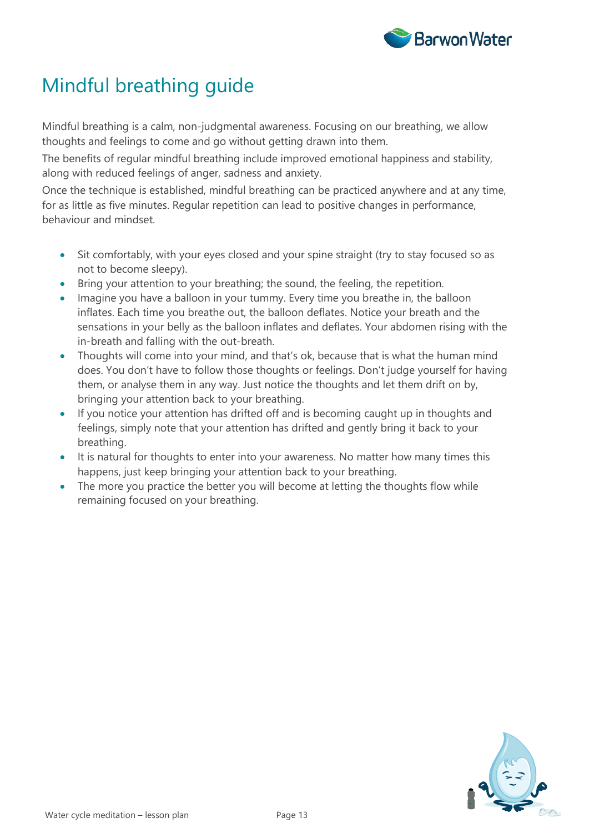

# Mindful breathing guide

Mindful breathing is a calm, non-judgmental awareness. Focusing on our breathing, we allow thoughts and feelings to come and go without getting drawn into them.

The benefits of regular mindful breathing include improved emotional happiness and stability, along with reduced feelings of anger, sadness and anxiety.

Once the technique is established, mindful breathing can be practiced anywhere and at any time, for as little as five minutes. Regular repetition can lead to positive changes in performance, behaviour and mindset.

- Sit comfortably, with your eyes closed and your spine straight (try to stay focused so as not to become sleepy).
- Bring your attention to your breathing; the sound, the feeling, the repetition.
- Imagine you have a balloon in your tummy. Every time you breathe in, the balloon inflates. Each time you breathe out, the balloon deflates. Notice your breath and the sensations in your belly as the balloon inflates and deflates. Your abdomen rising with the in-breath and falling with the out-breath.
- Thoughts will come into your mind, and that's ok, because that is what the human mind does. You don't have to follow those thoughts or feelings. Don't judge yourself for having them, or analyse them in any way. Just notice the thoughts and let them drift on by, bringing your attention back to your breathing.
- If you notice your attention has drifted off and is becoming caught up in thoughts and feelings, simply note that your attention has drifted and gently bring it back to your breathing.
- It is natural for thoughts to enter into your awareness. No matter how many times this happens, just keep bringing your attention back to your breathing.
- The more you practice the better you will become at letting the thoughts flow while remaining focused on your breathing.

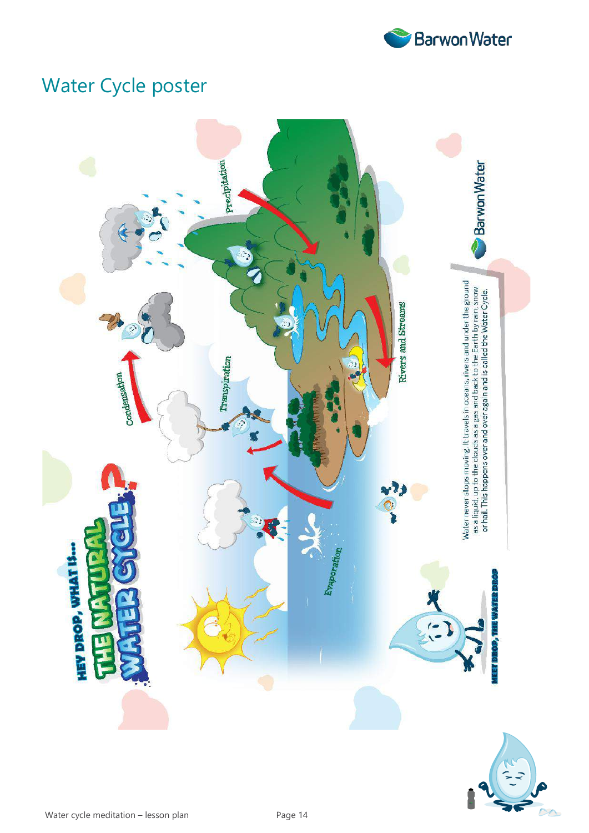

# Water Cycle poster



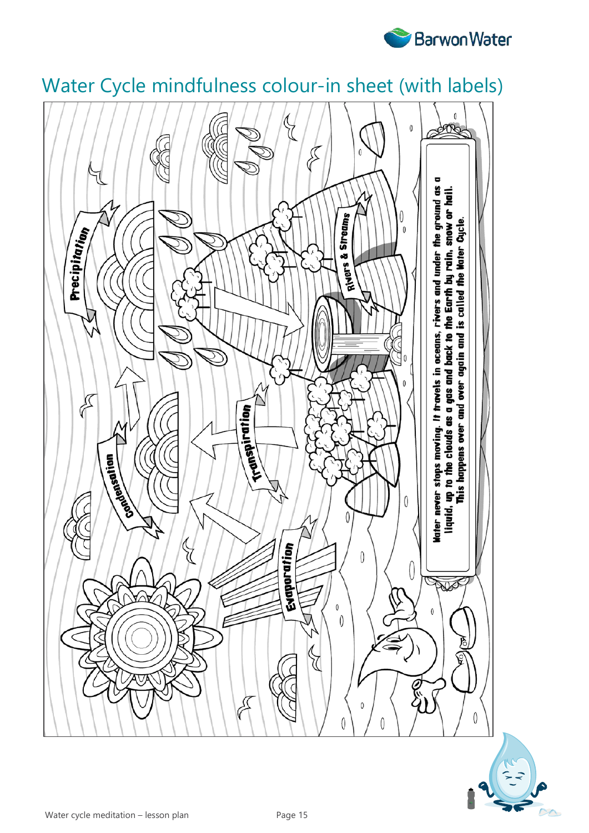



# Water Cycle mindfulness colour-in sheet (with labels)